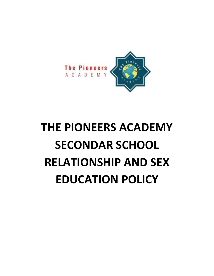

# **THE PIONEERS ACADEMY SECONDAR SCHOOL RELATIONSHIP AND SEX EDUCATION POLICY**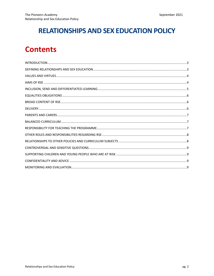## **RELATIONSHIPS AND SEX EDUCATION POLICY**

## **Contents**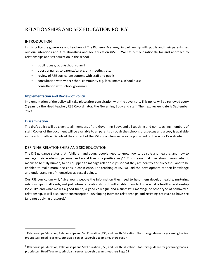### RELATIONSHIPS AND SEX EDUCATION POLICY

#### INTRODUCTION

In this policy the governors and teachers of The Pioneers Academy, in partnership with pupils and their parents, set out our intentions about relationships and sex education (RSE). We set out our rationale for and approach to relationships and sex education in the school.

- pupil focus groups/school council
- questionnaires to parents/carers, any meetings etc.
- review of RSE curriculum content with staff and pupils
- consultation with wider school community e.g. local Imams, school nurse
- consultation with school governors

#### **Implementation and Review of Policy**

Implementation of the policy will take place after consultation with the governors. This policy will be reviewed every **2 years** by the Head teacher, RSE Co-ordinator, the Governing Body and staff. The next review date is September 2023.

#### **Dissemination**

The draft policy will be given to all members of the Governing Body, and all teaching and non-teaching members of staff. Copies of the document will be available to all parents through the school's prospectus and a copy is available in the school office. Details of the content of the RSE curriculum will also be published on the school's web site.

#### DEFINING RELATIONSHIPS AND SEX EDUCATION

The DfE guidance states that, "children and young people need to know how to be safe and healthy, and how to manage their academic, personal and social lives in a positive way"<sup>1</sup>. This means that they should know what it means to be fully human, to be equipped to manage relationships so that they are healthy and successful and to be enabled to make moral decisions in conscience. The teaching of RSE will aid the development of their knowledge and understanding of themselves as sexual beings.

Our RSE curriculum will, "give young people the information they need to help them develop healthy, nurturing relationships of all kinds, not just intimate relationships. It will enable them to know what a healthy relationship looks like and what makes a good friend, a good colleague and a successful marriage or other type of committed relationship. It will also cover contraception, developing intimate relationships and resisting pressure to have sex (and not applying pressure)."<sup>2</sup>

 $1$  Relationships Education, Relationships and Sex Education (RSE) and Health Education: Statutory guidance for governing bodies, proprietors, Head Teachers, principals, senior leadership teams, teachers Page 4

<sup>&</sup>lt;sup>2</sup> Relationships Education, Relationships and Sex Education (RSE) and Health Education: Statutory guidance for governing bodies, proprietors, Head Teachers, principals, senior leadership teams, teachers Page 25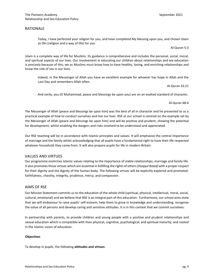#### RATIONALE

Today, I have perfected your religion for you, and have completed My blessing upon you, and chosen Islam as Dīn (religion and a way of life) for you

Al-Quran 5:3

Islam is a complete way of life for Muslims. Its guidance is comprehensive and includes the personal, social, moral, and spiritual aspects of our lives. Our involvement in educating our children about relationships and sex education is precisely because of this; we as Muslims must know how to have healthy, loving, and enriching relationships and know the role of sex in our lives.

Indeed, in the Messenger of Allah you have an excellent example for whoever has hope in Allah and the Last Day and remembers Allah often.

Al-Quran 33:21

And verily, you (O Muhammad, peace and blessings be upon you) are on an exalted standard of character.

Al-Quran 68:4

The Messenger of Allah (peace and blessings be upon him) was the best of all in character and he presented to us a practical example of how to conduct ourselves and live our lives. RSE at our school is centred on the example set by the Messenger of Allah (peace and blessings be upon him) and will be positive and prudent, showing the potential for development, whilst enabling the dangers and risks involved to be understood and appreciated.

Our RSE teaching will be in accordance with Islamic principles and values. It will emphasise the central importance of marriage and the family whilst acknowledging that all pupils have a fundamental right to have their life respected whatever household they come from. It will also prepare pupils for life in modern Britain.

#### VALUES AND VIRTUES

Our programme enshrines Islamic values relating to the importance of stable relationships, marriage and family life. It also promotes those virtues which are essential in fulfilling the rights of others (*Huqqul Ibaad)* with a proper respect for their dignity and the dignity of the human body. The following virtues will be explicitly explored and promoted: faithfulness, chastity, integrity, prudence, mercy, and compassion.

#### AIMS OF RSE

Our Mission Statement commits us to the education of the whole child (spiritual, physical, intellectual, moral, social, cultural, emotional) and we believe that RSE is an integral part of this education. Furthermore, our school aims state that we will endeavour to raise pupils' self-esteem, help them to grow in knowledge and understanding, recognise the value of all persons and develop caring and sensitive attitudes. It is in this context that we commit ourselves:

In partnership with parents, to provide children and young people with a positive and prudent relationships and sexual education which is compatible with their physical, cognitive, psychological, and spiritual maturity, and rooted in the Islamic vision of education.

#### **Objectives**

To develop in pupils, the following **attitudes and virtues**: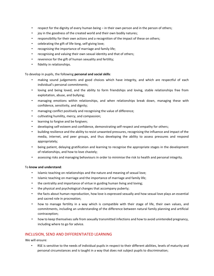- respect for the dignity of every human being in their own person and in the person of others;
- joy in the goodness of the created world and their own bodily natures;
- responsibility for their own actions and a recognition of the impact of these on others;
- celebrating the gift of life-long, self-giving love;
- recognising the importance of marriage and family life;
- recognising and valuing their own sexual identity and that of others;
- reverence for the gift of human sexuality and fertility;
- fidelity in relationships.

To develop in pupils, the following **personal and social skills**:

- making sound judgements and good choices which have integrity, and which are respectful of each individual's personal commitments;
- loving and being loved, and the ability to form friendships and loving, stable relationships free from exploitation, abuse, and bullying;
- managing emotions within relationships, and when relationships break down, managing these with confidence, sensitivity, and dignity;
- managing conflict positively and recognising the value of difference;
- cultivating humility, mercy, and compassion;
- learning to forgive and be forgiven;
- developing self-esteem and confidence, demonstrating self-respect and empathy for others;
- building resilience and the ability to resist unwanted pressures, recognising the influence and impact of the media, internet, and peer groups, and thus developing the ability to assess pressures and respond appropriately;
- being patient, delaying gratification and learning to recognise the appropriate stages in the development of relationships, and how to love chastely;
- assessing risks and managing behaviours in order to minimise the risk to health and personal integrity.

#### To **know and understand**:

- Islamic teaching on relationships and the nature and meaning of sexual love;
- Islamic teaching on marriage and the importance of marriage and family life;
- the centrality and importance of virtue in guiding human living and loving;
- the physical and psychological changes that accompany puberty;
- the facts about human reproduction, how love is expressed sexually and how sexual love plays an essential and sacred role in procreation;
- how to manage fertility in a way which is compatible with their stage of life, their own values, and commitments, including an understanding of the difference between natural family planning and artificial contraception;
- how to keep themselves safe from sexually transmitted infections and how to avoid unintended pregnancy, including where to go for advice.

#### INCLUSION, SEND AND DIFFERENTIATED LEARNING

We will ensure:

• RSE is sensitive to the needs of individual pupils in respect to their different abilities, levels of maturity and personal circumstances and is taught in a way that does not subject pupils to discrimination;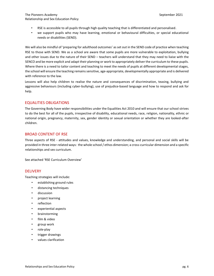- RSE is accessible to all pupils through high quality teaching that is differentiated and personalised.
- we support pupils who may have learning, emotional or behavioural difficulties, or special educational needs or disabilities (SEND).

We will also be mindful of 'preparing for adulthood outcomes' as set out in the SEND code of practice when teaching RSE to those with SEND. We as a school are aware that some pupils are more vulnerable to exploitation, bullying and other issues due to the nature of their SEND – teachers will understand that they may need to liaise with the SENCO and be more explicit and adapt their planning or work to appropriately deliver the curriculum to these pupils. Where there is a need to tailor content and teaching to meet the needs of pupils at different developmental stages, the school will ensure the teaching remains sensitive, age-appropriate, developmentally appropriate and is delivered with reference to the law.

Lessons will also help children to realise the nature and consequences of discrimination, teasing, bullying and aggressive behaviours (including cyber-bullying), use of prejudice-based language and how to respond and ask for help.

#### EQUALITIES OBLIGATIONS

The Governing Body have wider responsibilities under the Equalities Act 2010 and will ensure that our school strives to do the best for all of the pupils, irrespective of disability, educational needs, race, religion, nationality, ethnic or national origin, pregnancy, maternity, sex, gender identity or sexual orientation or whether they are looked-after children.

#### BROAD CONTENT OF RSE

Three aspects of RSE - attitudes and values, knowledge and understanding, and personal and social skills will be provided in three inter-related ways: the whole school / ethos dimension; a cross-curricular dimension and a specific relationships and sex curriculum.

See attached 'RSE Curriculum Overview'

#### **DELIVERY**

Teaching strategies will include:

- establishing ground rules
- distancing techniques
- discussion
- project learning
- reflection
- experiential aspects
- brainstorming
- film & video
- group work
- role-play
- trigger drawings
- values clarification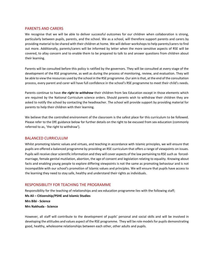#### PARENTS AND CARERS

We recognise that we will be able to deliver successful outcomes for our children when collaboration is strong, particularly between pupils, parents, and the school. We as a school, will therefore support parents and carers by providing material to be shared with their children at home. We will deliver workshops to help parents/carers to find out more. Additionally, parents/carers will be informed by letter when the more sensitive aspects of RSE will be covered, to allay concern and to enable them to be prepared to talk to and answer questions from children about their learning.

Parents will be consulted before this policy is ratified by the governors. They will be consulted at every stage of the development of the RSE programme, as well as during the process of monitoring, review, and evaluation. They will be able to view the resources used by the school in the RSE programme. Our aim is that, at the end of the consultation process, every parent and carer will have full confidence in the school's RSE programme to meet their child's needs.

Parents continue to have *the right to withdraw* their children from Sex Education except in those elements which are required by the National Curriculum science orders. Should parents wish to withdraw their children they are asked to notify the school by contacting the headteacher. The school will provide support by providing material for parents to help their children with their learning.

We believe that the controlled environment of the classroom is the safest place for this curriculum to be followed. Please refer to the DfE guidance below for further details on the right to be excused from sex education (commonly referred to as, 'the right to withdraw').

#### BALANCED CURRICULUM

Whilst promoting Islamic values and virtues, and teaching in accordance with Islamic principles, we will ensure that pupils are offered a balanced programme by providing an RSE curriculum that offers a range of viewpoints on issues. Pupils will receive clear scientific information and they will cover aspects of the law pertaining to RSE such as forcedmarriage, female genital mutilation, abortion, the age of consent and legislation relating to equality. Knowing about facts and enabling young people to explore differing viewpoints is not the same as promoting behaviour and is not incompatible with our school's promotion of Islamic values and principles. We will ensure that pupils have access to the learning they need to stay safe, healthy and understand their rights as individuals.

#### RESPONSIBILITY FOR TEACHING THE PROGRAMME

Responsibility for the teaching of relationships and sex education programme lies with the following staff;

**Ms Ali – Citizenship/PSHE and Islamic Studies Mrs Bibi - Science Mrs Nakhuda - Science**

However, all staff will contribute to the development of pupils' personal and social skills and will be involved in developing the attitudes and values aspect of the RSE programme. They will be role models for pupils demonstrating good, healthy, wholesome relationships between each other, other adults and pupils.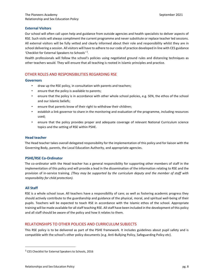#### **External Visitors**

Our school will often call upon help and guidance from outside agencies and health specialists to deliver aspects of RSE. Such visits will always compliment the current programme and never substitute or replace teacher led sessions. All external visitors will be fully vetted and clearly informed about their role and responsibility whilst they are in school delivering a session. All visitors will have to adhere to our code of practice developed in line with CES guidance 'Checklist for External Speakers to Schools' 3 .

Health professionals will follow the school's policies using negotiated ground rules and distancing techniques as other teachers would. They will ensure that all teaching is rooted in Islamic principles and practice.

#### OTHER ROLES AND RESPONSIBILITIES REGARDING RSE

#### **Governors**

- draw up the RSE policy, in consultation with parents and teachers;
- ensure that the policy is available to parents;
- ensure that the policy is in accordance with other whole school policies, e.g. SEN, the ethos of the school and our Islamic beliefs;
- ensure that parents know of their right to withdraw their children;
- establish a link governor to share in the monitoring and evaluation of the programme, including resources used;
- ensure that the policy provides proper and adequate coverage of relevant National Curriculum science topics and the setting of RSE within PSHE.

#### **Head teacher**

The Head teacher takes overall delegated responsibility for the implementation of this policy and for liaison with the Governing Body, parents, the Local Education Authority, and appropriate agencies.

#### **PSHE/RSE Co-Ordinator**

The co-ordinator with the Head teacher has a general responsibility for supporting other members of staff in the implementation of this policy and will provide a lead in the dissemination of the information relating to RSE and the provision of in-service training. *(They may be supported by the curriculum deputy and the member of staff with responsibility for child protection).* 

#### **All Staff**

RSE is a whole school issue. All teachers have a responsibility of care; as well as fostering academic progress they should actively contribute to the guardianship and guidance of the physical, moral, and spiritual well-being of their pupils. Teachers will be expected to teach RSE in accordance with the Islamic ethos of the school. Appropriate training will be made available for all staff teaching RSE. All staff have been included in the development of this policy and all staff should be aware of the policy and how it relates to them.

#### RELATIONSHIPS TO OTHER POLICIES AND CURRICULUM SUBJECTS

This RSE policy is to be delivered as part of the PSHE framework. It includes guidelines about pupil safety and is compatible with the school's other policy documents (e.g. Anti-Bullying Policy, Safeguarding Policy etc).

<sup>&</sup>lt;sup>3</sup> CES Checklist for External Speakers to Schools, 2016